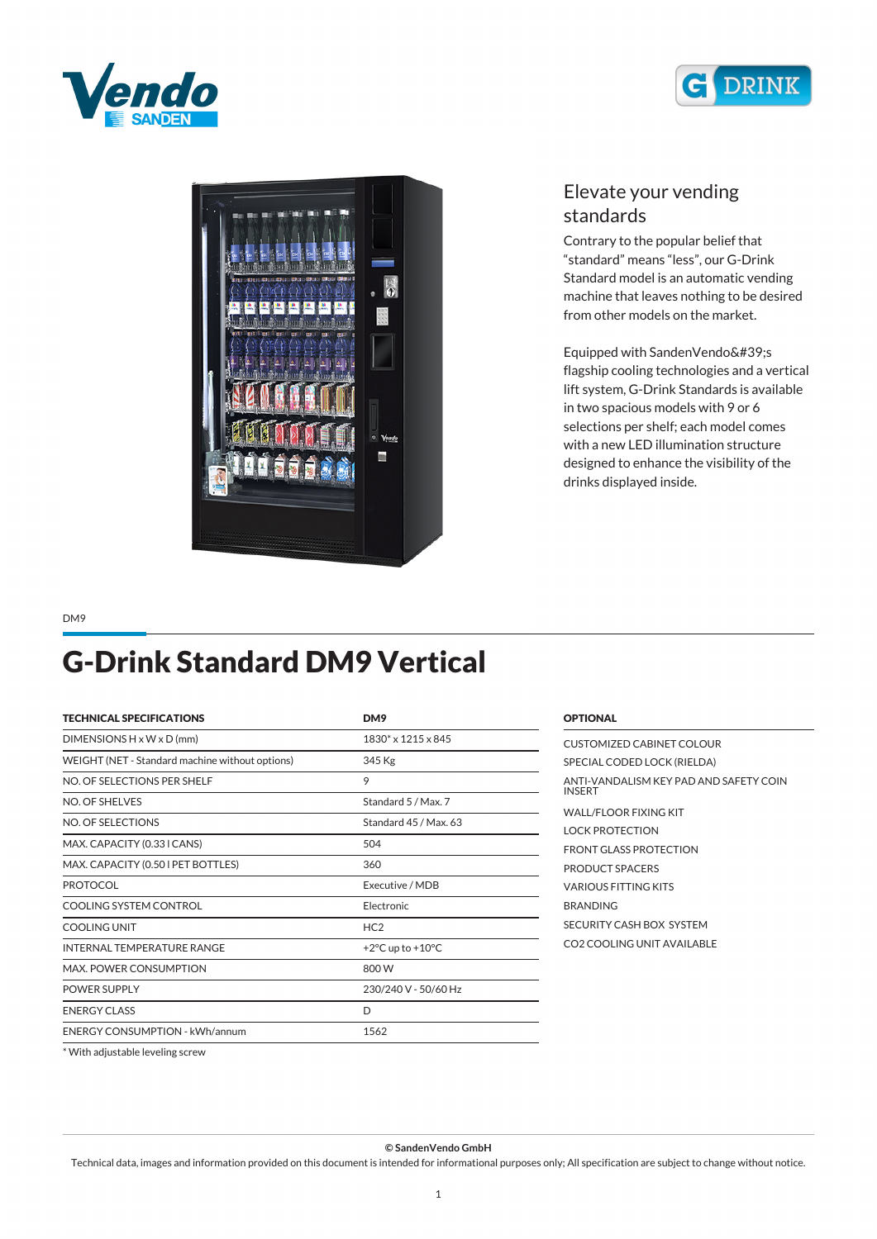





## *Elevate your vending standards*

*Contrary to the popular belief that "standard" means "less", our G-Drink Standard model is an automatic vending machine that leaves nothing to be desired from other models on the market.*

Equipped with SandenVendo's *flagship cooling technologies and a vertical lift system, G-Drink Standards is available in two spacious models with 9 or 6 selections per shelf; each model comes with a new LED illumination structure designed to enhance the visibility of the drinks displayed inside.*

*DM9*

## *G-Drink Standard DM9 Vertical*

| <b>TECHNICAL SPECIFICATIONS</b>                 | DM9                                  |
|-------------------------------------------------|--------------------------------------|
| $DIMENTSIONS H \times W \times D$ (mm)          | $1830^* \times 1215 \times 845$      |
| WEIGHT (NET - Standard machine without options) | 345 Kg                               |
| NO. OF SELECTIONS PER SHELF                     | 9                                    |
| NO. OF SHELVES                                  | Standard 5 / Max. 7                  |
| NO. OF SELECTIONS                               | Standard 45 / Max 63                 |
| MAX. CAPACITY (0.33 I CANS)                     | 504                                  |
| MAX. CAPACITY (0.50 I PET BOTTLES)              | 360                                  |
| <b>PROTOCOL</b>                                 | Executive / MDB                      |
| COOLING SYSTEM CONTROL                          | Electronic                           |
| <b>COOLING UNIT</b>                             | HC2                                  |
| <b>INTERNAL TEMPERATURE RANGE</b>               | +2 $\degree$ C up to +10 $\degree$ C |
| MAX. POWER CONSUMPTION                          | 800 W                                |
| <b>POWER SUPPLY</b>                             | 230/240 V - 50/60 Hz                 |
| <b>ENERGY CLASS</b>                             | D                                    |
| <b>ENERGY CONSUMPTION - kWh/annum</b>           | 1562                                 |

| CUSTOMIZED CABINET COLOUR                               |
|---------------------------------------------------------|
| SPECIAL CODED LOCK (RIELDA)                             |
| ANTI-VANDALISM KEY PAD AND SAFETY COIN<br><b>INSERT</b> |
| WALL/FLOOR FIXING KIT                                   |
| <b>LOCK PROTECTION</b>                                  |
| <b>FRONT GLASS PROTECTION</b>                           |
| PRODUCT SPACERS                                         |
| VARIOUS FITTING KITS                                    |
| <b>BRANDING</b>                                         |
| SECURITY CASH BOX SYSTEM                                |
| CO2 COOLING UNIT AVAILABLE                              |
|                                                         |

*\* With adjustable leveling screw*

*© SandenVendo GmbH*

*Technical data, images and information provided on this document is intended for informational purposes only; All specification are subject to change without notice.*